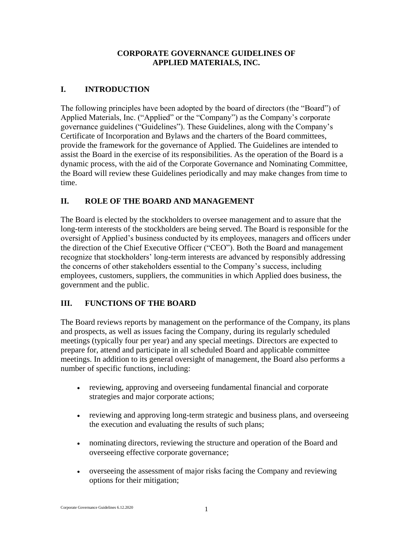### **CORPORATE GOVERNANCE GUIDELINES OF APPLIED MATERIALS, INC.**

# **I. INTRODUCTION**

The following principles have been adopted by the board of directors (the "Board") of Applied Materials, Inc. ("Applied" or the "Company") as the Company's corporate governance guidelines ("Guidelines"). These Guidelines, along with the Company's Certificate of Incorporation and Bylaws and the charters of the Board committees, provide the framework for the governance of Applied. The Guidelines are intended to assist the Board in the exercise of its responsibilities. As the operation of the Board is a dynamic process, with the aid of the Corporate Governance and Nominating Committee, the Board will review these Guidelines periodically and may make changes from time to time.

# **II. ROLE OF THE BOARD AND MANAGEMENT**

The Board is elected by the stockholders to oversee management and to assure that the long-term interests of the stockholders are being served. The Board is responsible for the oversight of Applied's business conducted by its employees, managers and officers under the direction of the Chief Executive Officer ("CEO"). Both the Board and management recognize that stockholders' long-term interests are advanced by responsibly addressing the concerns of other stakeholders essential to the Company's success, including employees, customers, suppliers, the communities in which Applied does business, the government and the public.

## **III. FUNCTIONS OF THE BOARD**

The Board reviews reports by management on the performance of the Company, its plans and prospects, as well as issues facing the Company, during its regularly scheduled meetings (typically four per year) and any special meetings. Directors are expected to prepare for, attend and participate in all scheduled Board and applicable committee meetings. In addition to its general oversight of management, the Board also performs a number of specific functions, including:

- reviewing, approving and overseeing fundamental financial and corporate strategies and major corporate actions;
- reviewing and approving long-term strategic and business plans, and overseeing the execution and evaluating the results of such plans;
- nominating directors, reviewing the structure and operation of the Board and overseeing effective corporate governance;
- overseeing the assessment of major risks facing the Company and reviewing options for their mitigation;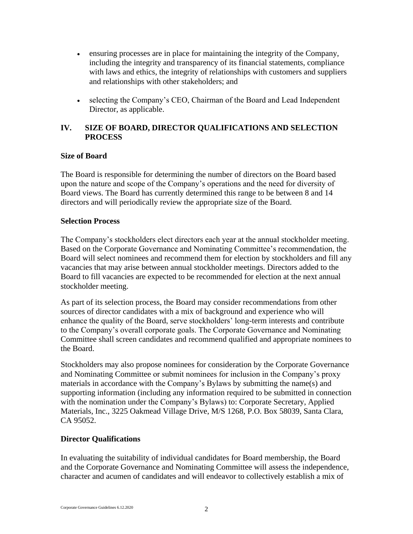- ensuring processes are in place for maintaining the integrity of the Company, including the integrity and transparency of its financial statements, compliance with laws and ethics, the integrity of relationships with customers and suppliers and relationships with other stakeholders; and
- selecting the Company's CEO, Chairman of the Board and Lead Independent Director, as applicable.

## **IV. SIZE OF BOARD, DIRECTOR QUALIFICATIONS AND SELECTION PROCESS**

### **Size of Board**

The Board is responsible for determining the number of directors on the Board based upon the nature and scope of the Company's operations and the need for diversity of Board views. The Board has currently determined this range to be between 8 and 14 directors and will periodically review the appropriate size of the Board.

#### **Selection Process**

The Company's stockholders elect directors each year at the annual stockholder meeting. Based on the Corporate Governance and Nominating Committee's recommendation, the Board will select nominees and recommend them for election by stockholders and fill any vacancies that may arise between annual stockholder meetings. Directors added to the Board to fill vacancies are expected to be recommended for election at the next annual stockholder meeting.

As part of its selection process, the Board may consider recommendations from other sources of director candidates with a mix of background and experience who will enhance the quality of the Board, serve stockholders' long-term interests and contribute to the Company's overall corporate goals. The Corporate Governance and Nominating Committee shall screen candidates and recommend qualified and appropriate nominees to the Board.

Stockholders may also propose nominees for consideration by the Corporate Governance and Nominating Committee or submit nominees for inclusion in the Company's proxy materials in accordance with the Company's Bylaws by submitting the name(s) and supporting information (including any information required to be submitted in connection with the nomination under the Company's Bylaws) to: Corporate Secretary, Applied Materials, Inc., 3225 Oakmead Village Drive, M/S 1268, P.O. Box 58039, Santa Clara, CA 95052.

## **Director Qualifications**

In evaluating the suitability of individual candidates for Board membership, the Board and the Corporate Governance and Nominating Committee will assess the independence, character and acumen of candidates and will endeavor to collectively establish a mix of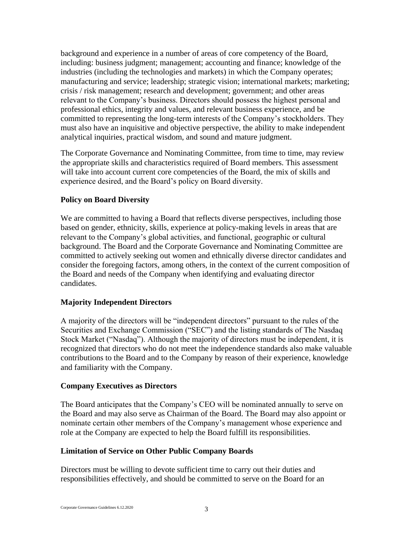background and experience in a number of areas of core competency of the Board, including: business judgment; management; accounting and finance; knowledge of the industries (including the technologies and markets) in which the Company operates; manufacturing and service; leadership; strategic vision; international markets; marketing; crisis / risk management; research and development; government; and other areas relevant to the Company's business. Directors should possess the highest personal and professional ethics, integrity and values, and relevant business experience, and be committed to representing the long-term interests of the Company's stockholders. They must also have an inquisitive and objective perspective, the ability to make independent analytical inquiries, practical wisdom, and sound and mature judgment.

The Corporate Governance and Nominating Committee, from time to time, may review the appropriate skills and characteristics required of Board members. This assessment will take into account current core competencies of the Board, the mix of skills and experience desired, and the Board's policy on Board diversity.

#### **Policy on Board Diversity**

We are committed to having a Board that reflects diverse perspectives, including those based on gender, ethnicity, skills, experience at policy-making levels in areas that are relevant to the Company's global activities, and functional, geographic or cultural background. The Board and the Corporate Governance and Nominating Committee are committed to actively seeking out women and ethnically diverse director candidates and consider the foregoing factors, among others, in the context of the current composition of the Board and needs of the Company when identifying and evaluating director candidates.

#### **Majority Independent Directors**

A majority of the directors will be "independent directors" pursuant to the rules of the Securities and Exchange Commission ("SEC") and the listing standards of The Nasdaq Stock Market ("Nasdaq"). Although the majority of directors must be independent, it is recognized that directors who do not meet the independence standards also make valuable contributions to the Board and to the Company by reason of their experience, knowledge and familiarity with the Company.

#### **Company Executives as Directors**

The Board anticipates that the Company's CEO will be nominated annually to serve on the Board and may also serve as Chairman of the Board. The Board may also appoint or nominate certain other members of the Company's management whose experience and role at the Company are expected to help the Board fulfill its responsibilities.

#### **Limitation of Service on Other Public Company Boards**

Directors must be willing to devote sufficient time to carry out their duties and responsibilities effectively, and should be committed to serve on the Board for an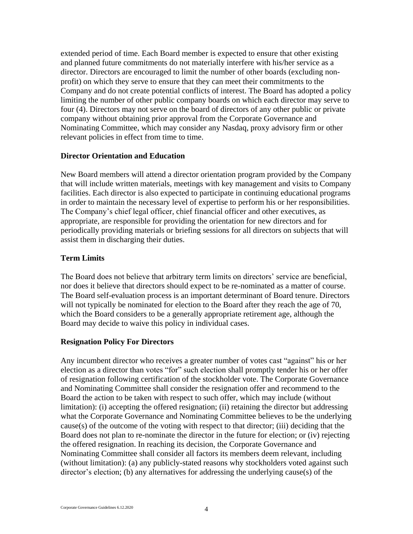extended period of time. Each Board member is expected to ensure that other existing and planned future commitments do not materially interfere with his/her service as a director. Directors are encouraged to limit the number of other boards (excluding nonprofit) on which they serve to ensure that they can meet their commitments to the Company and do not create potential conflicts of interest. The Board has adopted a policy limiting the number of other public company boards on which each director may serve to four (4). Directors may not serve on the board of directors of any other public or private company without obtaining prior approval from the Corporate Governance and Nominating Committee, which may consider any Nasdaq, proxy advisory firm or other relevant policies in effect from time to time.

#### **Director Orientation and Education**

New Board members will attend a director orientation program provided by the Company that will include written materials, meetings with key management and visits to Company facilities. Each director is also expected to participate in continuing educational programs in order to maintain the necessary level of expertise to perform his or her responsibilities. The Company's chief legal officer, chief financial officer and other executives, as appropriate, are responsible for providing the orientation for new directors and for periodically providing materials or briefing sessions for all directors on subjects that will assist them in discharging their duties.

#### **Term Limits**

The Board does not believe that arbitrary term limits on directors' service are beneficial, nor does it believe that directors should expect to be re-nominated as a matter of course. The Board self-evaluation process is an important determinant of Board tenure. Directors will not typically be nominated for election to the Board after they reach the age of 70, which the Board considers to be a generally appropriate retirement age, although the Board may decide to waive this policy in individual cases.

#### **Resignation Policy For Directors**

Any incumbent director who receives a greater number of votes cast "against" his or her election as a director than votes "for" such election shall promptly tender his or her offer of resignation following certification of the stockholder vote. The Corporate Governance and Nominating Committee shall consider the resignation offer and recommend to the Board the action to be taken with respect to such offer, which may include (without limitation): (i) accepting the offered resignation; (ii) retaining the director but addressing what the Corporate Governance and Nominating Committee believes to be the underlying cause(s) of the outcome of the voting with respect to that director; (iii) deciding that the Board does not plan to re-nominate the director in the future for election; or (iv) rejecting the offered resignation. In reaching its decision, the Corporate Governance and Nominating Committee shall consider all factors its members deem relevant, including (without limitation): (a) any publicly-stated reasons why stockholders voted against such director's election; (b) any alternatives for addressing the underlying cause(s) of the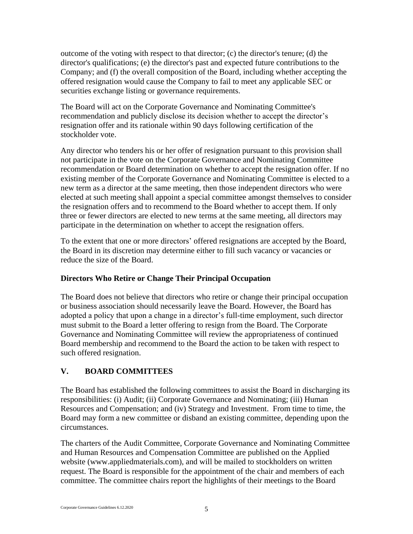outcome of the voting with respect to that director; (c) the director's tenure; (d) the director's qualifications; (e) the director's past and expected future contributions to the Company; and (f) the overall composition of the Board, including whether accepting the offered resignation would cause the Company to fail to meet any applicable SEC or securities exchange listing or governance requirements.

The Board will act on the Corporate Governance and Nominating Committee's recommendation and publicly disclose its decision whether to accept the director's resignation offer and its rationale within 90 days following certification of the stockholder vote.

Any director who tenders his or her offer of resignation pursuant to this provision shall not participate in the vote on the Corporate Governance and Nominating Committee recommendation or Board determination on whether to accept the resignation offer. If no existing member of the Corporate Governance and Nominating Committee is elected to a new term as a director at the same meeting, then those independent directors who were elected at such meeting shall appoint a special committee amongst themselves to consider the resignation offers and to recommend to the Board whether to accept them. If only three or fewer directors are elected to new terms at the same meeting, all directors may participate in the determination on whether to accept the resignation offers.

To the extent that one or more directors' offered resignations are accepted by the Board, the Board in its discretion may determine either to fill such vacancy or vacancies or reduce the size of the Board.

## **Directors Who Retire or Change Their Principal Occupation**

The Board does not believe that directors who retire or change their principal occupation or business association should necessarily leave the Board. However, the Board has adopted a policy that upon a change in a director's full-time employment, such director must submit to the Board a letter offering to resign from the Board. The Corporate Governance and Nominating Committee will review the appropriateness of continued Board membership and recommend to the Board the action to be taken with respect to such offered resignation.

## **V. BOARD COMMITTEES**

The Board has established the following committees to assist the Board in discharging its responsibilities: (i) Audit; (ii) Corporate Governance and Nominating; (iii) Human Resources and Compensation; and (iv) Strategy and Investment. From time to time, the Board may form a new committee or disband an existing committee, depending upon the circumstances.

The charters of the Audit Committee, Corporate Governance and Nominating Committee and Human Resources and Compensation Committee are published on the Applied website (www.appliedmaterials.com), and will be mailed to stockholders on written request. The Board is responsible for the appointment of the chair and members of each committee. The committee chairs report the highlights of their meetings to the Board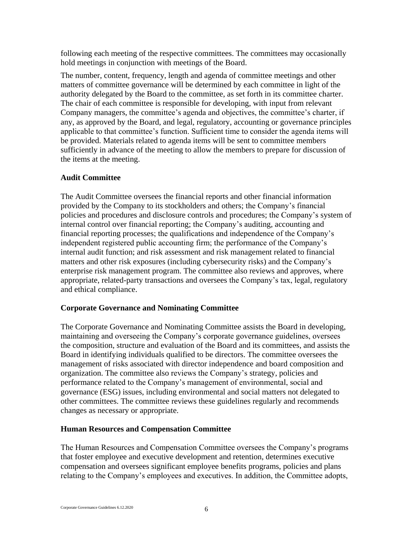following each meeting of the respective committees. The committees may occasionally hold meetings in conjunction with meetings of the Board.

The number, content, frequency, length and agenda of committee meetings and other matters of committee governance will be determined by each committee in light of the authority delegated by the Board to the committee, as set forth in its committee charter. The chair of each committee is responsible for developing, with input from relevant Company managers, the committee's agenda and objectives, the committee's charter, if any, as approved by the Board, and legal, regulatory, accounting or governance principles applicable to that committee's function. Sufficient time to consider the agenda items will be provided. Materials related to agenda items will be sent to committee members sufficiently in advance of the meeting to allow the members to prepare for discussion of the items at the meeting.

### **Audit Committee**

The Audit Committee oversees the financial reports and other financial information provided by the Company to its stockholders and others; the Company's financial policies and procedures and disclosure controls and procedures; the Company's system of internal control over financial reporting; the Company's auditing, accounting and financial reporting processes; the qualifications and independence of the Company's independent registered public accounting firm; the performance of the Company's internal audit function; and risk assessment and risk management related to financial matters and other risk exposures (including cybersecurity risks) and the Company's enterprise risk management program. The committee also reviews and approves, where appropriate, related-party transactions and oversees the Company's tax, legal, regulatory and ethical compliance.

#### **Corporate Governance and Nominating Committee**

The Corporate Governance and Nominating Committee assists the Board in developing, maintaining and overseeing the Company's corporate governance guidelines, oversees the composition, structure and evaluation of the Board and its committees, and assists the Board in identifying individuals qualified to be directors. The committee oversees the management of risks associated with director independence and board composition and organization. The committee also reviews the Company's strategy, policies and performance related to the Company's management of environmental, social and governance (ESG) issues, including environmental and social matters not delegated to other committees. The committee reviews these guidelines regularly and recommends changes as necessary or appropriate.

#### **Human Resources and Compensation Committee**

The Human Resources and Compensation Committee oversees the Company's programs that foster employee and executive development and retention, determines executive compensation and oversees significant employee benefits programs, policies and plans relating to the Company's employees and executives. In addition, the Committee adopts,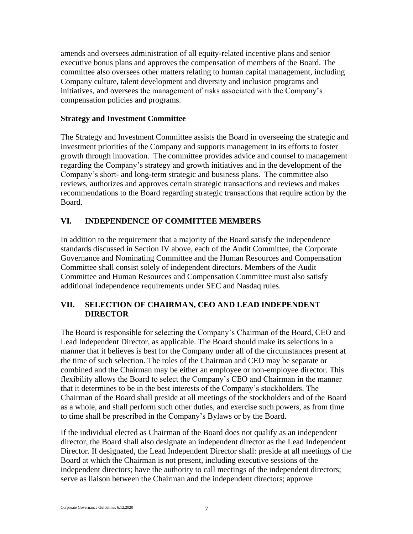amends and oversees administration of all equity-related incentive plans and senior executive bonus plans and approves the compensation of members of the Board. The committee also oversees other matters relating to human capital management, including Company culture, talent development and diversity and inclusion programs and initiatives, and oversees the management of risks associated with the Company's compensation policies and programs.

#### **Strategy and Investment Committee**

The Strategy and Investment Committee assists the Board in overseeing the strategic and investment priorities of the Company and supports management in its efforts to foster growth through innovation. The committee provides advice and counsel to management regarding the Company's strategy and growth initiatives and in the development of the Company's short- and long-term strategic and business plans. The committee also reviews, authorizes and approves certain strategic transactions and reviews and makes recommendations to the Board regarding strategic transactions that require action by the Board.

### **VI. INDEPENDENCE OF COMMITTEE MEMBERS**

In addition to the requirement that a majority of the Board satisfy the independence standards discussed in Section IV above, each of the Audit Committee, the Corporate Governance and Nominating Committee and the Human Resources and Compensation Committee shall consist solely of independent directors. Members of the Audit Committee and Human Resources and Compensation Committee must also satisfy additional independence requirements under SEC and Nasdaq rules.

### **VII. SELECTION OF CHAIRMAN, CEO AND LEAD INDEPENDENT DIRECTOR**

The Board is responsible for selecting the Company's Chairman of the Board, CEO and Lead Independent Director, as applicable. The Board should make its selections in a manner that it believes is best for the Company under all of the circumstances present at the time of such selection. The roles of the Chairman and CEO may be separate or combined and the Chairman may be either an employee or non-employee director. This flexibility allows the Board to select the Company's CEO and Chairman in the manner that it determines to be in the best interests of the Company's stockholders. The Chairman of the Board shall preside at all meetings of the stockholders and of the Board as a whole, and shall perform such other duties, and exercise such powers, as from time to time shall be prescribed in the Company's Bylaws or by the Board.

If the individual elected as Chairman of the Board does not qualify as an independent director, the Board shall also designate an independent director as the Lead Independent Director. If designated, the Lead Independent Director shall: preside at all meetings of the Board at which the Chairman is not present, including executive sessions of the independent directors; have the authority to call meetings of the independent directors; serve as liaison between the Chairman and the independent directors; approve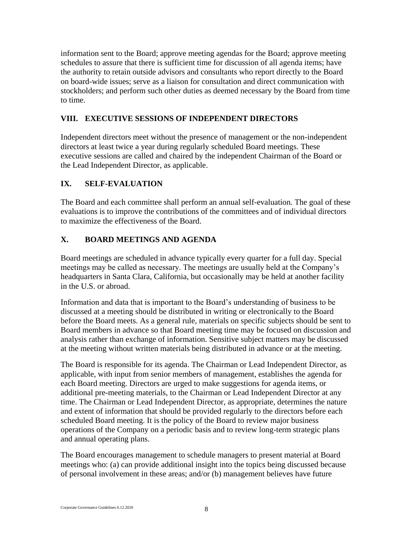information sent to the Board; approve meeting agendas for the Board; approve meeting schedules to assure that there is sufficient time for discussion of all agenda items; have the authority to retain outside advisors and consultants who report directly to the Board on board-wide issues; serve as a liaison for consultation and direct communication with stockholders; and perform such other duties as deemed necessary by the Board from time to time.

# **VIII. EXECUTIVE SESSIONS OF INDEPENDENT DIRECTORS**

Independent directors meet without the presence of management or the non-independent directors at least twice a year during regularly scheduled Board meetings. These executive sessions are called and chaired by the independent Chairman of the Board or the Lead Independent Director, as applicable.

## **IX. SELF-EVALUATION**

The Board and each committee shall perform an annual self-evaluation. The goal of these evaluations is to improve the contributions of the committees and of individual directors to maximize the effectiveness of the Board.

# **X. BOARD MEETINGS AND AGENDA**

Board meetings are scheduled in advance typically every quarter for a full day. Special meetings may be called as necessary. The meetings are usually held at the Company's headquarters in Santa Clara, California, but occasionally may be held at another facility in the U.S. or abroad.

Information and data that is important to the Board's understanding of business to be discussed at a meeting should be distributed in writing or electronically to the Board before the Board meets. As a general rule, materials on specific subjects should be sent to Board members in advance so that Board meeting time may be focused on discussion and analysis rather than exchange of information. Sensitive subject matters may be discussed at the meeting without written materials being distributed in advance or at the meeting.

The Board is responsible for its agenda. The Chairman or Lead Independent Director, as applicable, with input from senior members of management, establishes the agenda for each Board meeting. Directors are urged to make suggestions for agenda items, or additional pre-meeting materials, to the Chairman or Lead Independent Director at any time. The Chairman or Lead Independent Director, as appropriate, determines the nature and extent of information that should be provided regularly to the directors before each scheduled Board meeting. It is the policy of the Board to review major business operations of the Company on a periodic basis and to review long-term strategic plans and annual operating plans.

The Board encourages management to schedule managers to present material at Board meetings who: (a) can provide additional insight into the topics being discussed because of personal involvement in these areas; and/or (b) management believes have future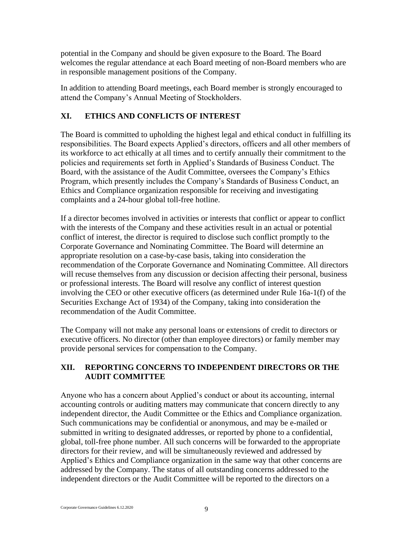potential in the Company and should be given exposure to the Board. The Board welcomes the regular attendance at each Board meeting of non-Board members who are in responsible management positions of the Company.

In addition to attending Board meetings, each Board member is strongly encouraged to attend the Company's Annual Meeting of Stockholders.

# **XI. ETHICS AND CONFLICTS OF INTEREST**

The Board is committed to upholding the highest legal and ethical conduct in fulfilling its responsibilities. The Board expects Applied's directors, officers and all other members of its workforce to act ethically at all times and to certify annually their commitment to the policies and requirements set forth in Applied's Standards of Business Conduct. The Board, with the assistance of the Audit Committee, oversees the Company's Ethics Program, which presently includes the Company's Standards of Business Conduct, an Ethics and Compliance organization responsible for receiving and investigating complaints and a 24-hour global toll-free hotline.

If a director becomes involved in activities or interests that conflict or appear to conflict with the interests of the Company and these activities result in an actual or potential conflict of interest, the director is required to disclose such conflict promptly to the Corporate Governance and Nominating Committee. The Board will determine an appropriate resolution on a case-by-case basis, taking into consideration the recommendation of the Corporate Governance and Nominating Committee. All directors will recuse themselves from any discussion or decision affecting their personal, business or professional interests. The Board will resolve any conflict of interest question involving the CEO or other executive officers (as determined under Rule 16a-1(f) of the Securities Exchange Act of 1934) of the Company, taking into consideration the recommendation of the Audit Committee.

The Company will not make any personal loans or extensions of credit to directors or executive officers. No director (other than employee directors) or family member may provide personal services for compensation to the Company.

# **XII. REPORTING CONCERNS TO INDEPENDENT DIRECTORS OR THE AUDIT COMMITTEE**

Anyone who has a concern about Applied's conduct or about its accounting, internal accounting controls or auditing matters may communicate that concern directly to any independent director, the Audit Committee or the Ethics and Compliance organization. Such communications may be confidential or anonymous, and may be e-mailed or submitted in writing to designated addresses, or reported by phone to a confidential, global, toll-free phone number. All such concerns will be forwarded to the appropriate directors for their review, and will be simultaneously reviewed and addressed by Applied's Ethics and Compliance organization in the same way that other concerns are addressed by the Company. The status of all outstanding concerns addressed to the independent directors or the Audit Committee will be reported to the directors on a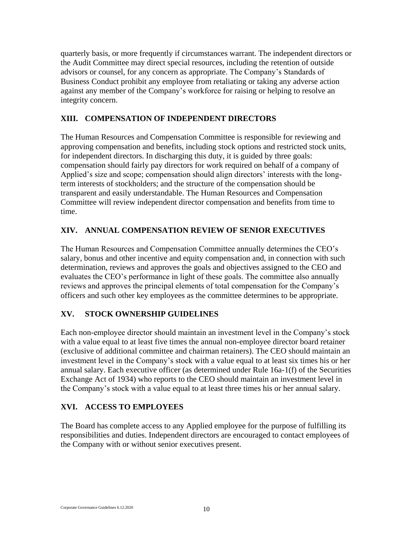quarterly basis, or more frequently if circumstances warrant. The independent directors or the Audit Committee may direct special resources, including the retention of outside advisors or counsel, for any concern as appropriate. The Company's Standards of Business Conduct prohibit any employee from retaliating or taking any adverse action against any member of the Company's workforce for raising or helping to resolve an integrity concern.

# **XIII. COMPENSATION OF INDEPENDENT DIRECTORS**

The Human Resources and Compensation Committee is responsible for reviewing and approving compensation and benefits, including stock options and restricted stock units, for independent directors. In discharging this duty, it is guided by three goals: compensation should fairly pay directors for work required on behalf of a company of Applied's size and scope; compensation should align directors' interests with the longterm interests of stockholders; and the structure of the compensation should be transparent and easily understandable. The Human Resources and Compensation Committee will review independent director compensation and benefits from time to time.

# **XIV. ANNUAL COMPENSATION REVIEW OF SENIOR EXECUTIVES**

The Human Resources and Compensation Committee annually determines the CEO's salary, bonus and other incentive and equity compensation and, in connection with such determination, reviews and approves the goals and objectives assigned to the CEO and evaluates the CEO's performance in light of these goals. The committee also annually reviews and approves the principal elements of total compensation for the Company's officers and such other key employees as the committee determines to be appropriate.

# **XV. STOCK OWNERSHIP GUIDELINES**

Each non-employee director should maintain an investment level in the Company's stock with a value equal to at least five times the annual non-employee director board retainer (exclusive of additional committee and chairman retainers). The CEO should maintain an investment level in the Company's stock with a value equal to at least six times his or her annual salary. Each executive officer (as determined under Rule 16a-1(f) of the Securities Exchange Act of 1934) who reports to the CEO should maintain an investment level in the Company's stock with a value equal to at least three times his or her annual salary.

# **XVI. ACCESS TO EMPLOYEES**

The Board has complete access to any Applied employee for the purpose of fulfilling its responsibilities and duties. Independent directors are encouraged to contact employees of the Company with or without senior executives present.